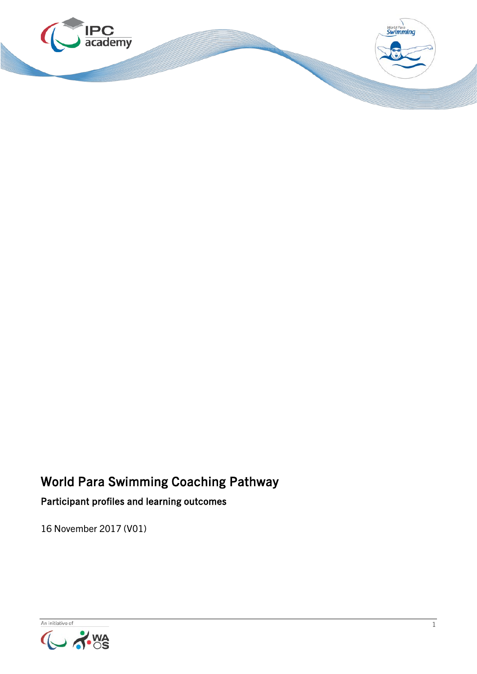

# World Para Swimming Coaching Pathway

Participant profiles and learning outcomes

16 November 2017 (V01)

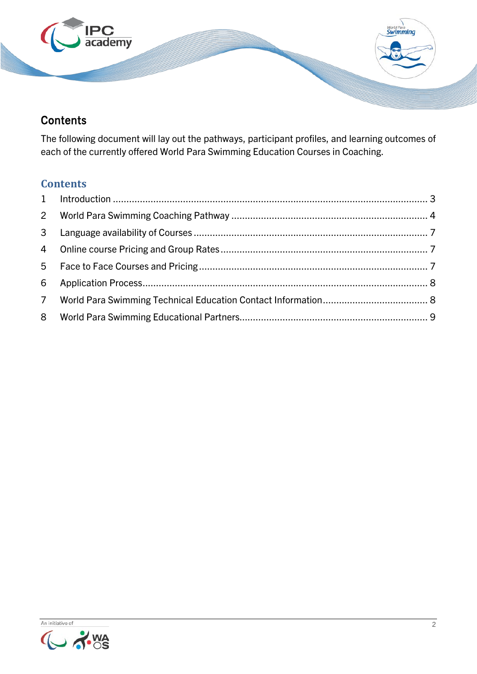

## **Contents**

The following document will lay out the pathways, participant profiles, and learning outcomes of each of the currently offered World Para Swimming Education Courses in Coaching.

### **Contents**

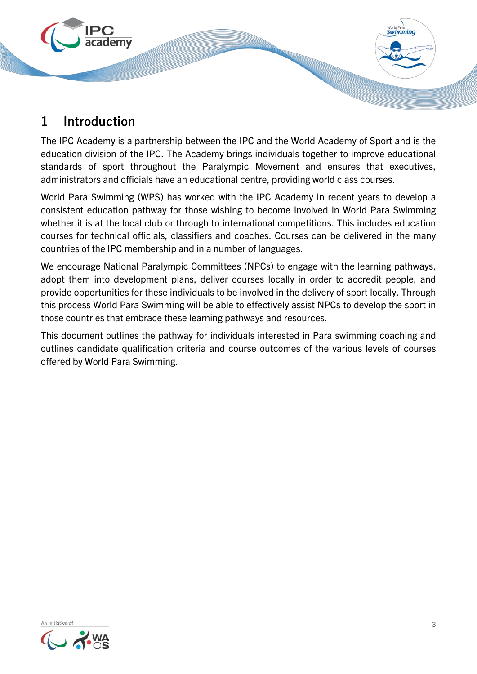

# <span id="page-2-0"></span>1 Introduction

The IPC Academy is a partnership between the IPC and the World Academy of Sport and is the education division of the IPC. The Academy brings individuals together to improve educational standards of sport throughout the Paralympic Movement and ensures that executives, administrators and officials have an educational centre, providing world class courses.

World Para Swimming (WPS) has worked with the IPC Academy in recent years to develop a consistent education pathway for those wishing to become involved in World Para Swimming whether it is at the local club or through to international competitions. This includes education courses for technical officials, classifiers and coaches. Courses can be delivered in the many countries of the IPC membership and in a number of languages.

We encourage National Paralympic Committees (NPCs) to engage with the learning pathways, adopt them into development plans, deliver courses locally in order to accredit people, and provide opportunities for these individuals to be involved in the delivery of sport locally. Through this process World Para Swimming will be able to effectively assist NPCs to develop the sport in those countries that embrace these learning pathways and resources.

This document outlines the pathway for individuals interested in Para swimming coaching and outlines candidate qualification criteria and course outcomes of the various levels of courses offered by World Para Swimming.

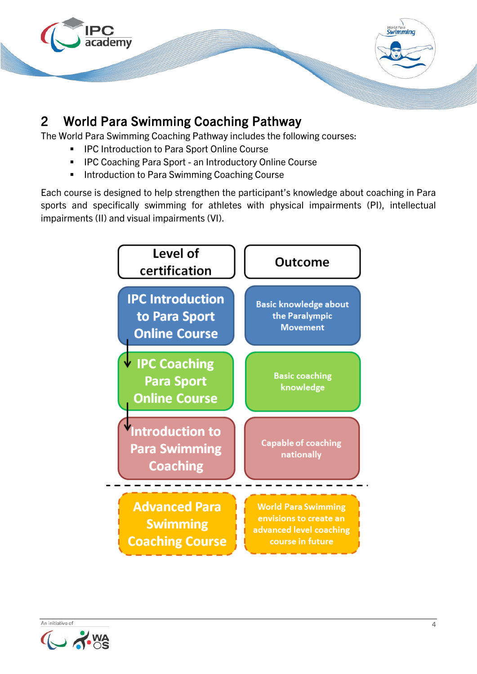

# <span id="page-3-0"></span>2 World Para Swimming Coaching Pathway

The World Para Swimming Coaching Pathway includes the following courses:

- **IPC Introduction to Para Sport Online Course**
- **IPC Coaching Para Sport an Introductory Online Course**
- **Introduction to Para Swimming Coaching Course**

Each course is designed to help strengthen the participant's knowledge about coaching in Para sports and specifically swimming for athletes with physical impairments (PI), intellectual impairments (II) and visual impairments (VI).

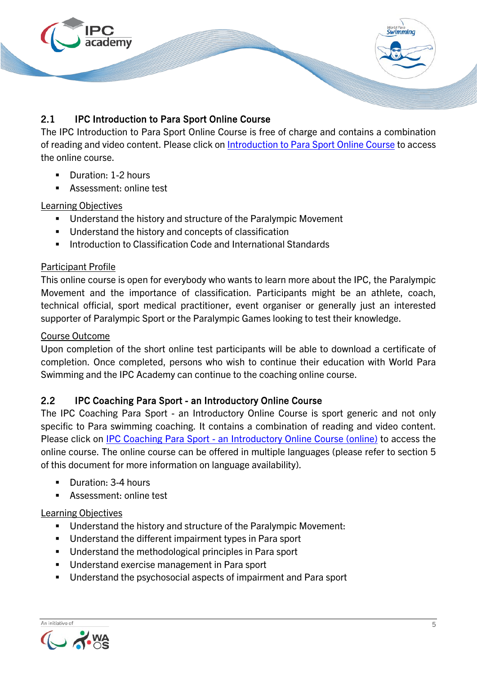

### 2.1 IPC Introduction to Para Sport Online Course

The IPC Introduction to Para Sport Online Course is free of charge and contains a combination of reading and video content. Please click on [Introduction to Para Sport Online Course](http://www.ipc-academy.org/?academy=1&course=47) to access the online course.

- Duration: 1-2 hours
- **Assessment: online test**

### Learning Objectives

- Understand the history and structure of the Paralympic Movement
- Understand the history and concepts of classification
- **Introduction to Classification Code and International Standards**

### Participant Profile

This online course is open for everybody who wants to learn more about the IPC, the Paralympic Movement and the importance of classification. Participants might be an athlete, coach, technical official, sport medical practitioner, event organiser or generally just an interested supporter of Paralympic Sport or the Paralympic Games looking to test their knowledge.

#### Course Outcome

Upon completion of the short online test participants will be able to download a certificate of completion. Once completed, persons who wish to continue their education with World Para Swimming and the IPC Academy can continue to the coaching online course.

### 2.2 IPC Coaching Para Sport - an Introductory Online Course

The IPC Coaching Para Sport - an Introductory Online Course is sport generic and not only specific to Para swimming coaching. It contains a combination of reading and video content. Please click on IPC Coaching Para Sport - [an Introductory Online Course](https://www.ipc-academy.org/index.php?academy=1&course=84) (online) to access the online course. The online course can be offered in multiple languages (please refer to section 5 of this document for more information on language availability).

- Duration: 3-4 hours
- Assessment: online test

#### Learning Objectives

- Understand the history and structure of the Paralympic Movement:
- **Understand the different impairment types in Para sport**
- **Understand the methodological principles in Para sport**
- **Understand exercise management in Para sport**
- Understand the psychosocial aspects of impairment and Para sport

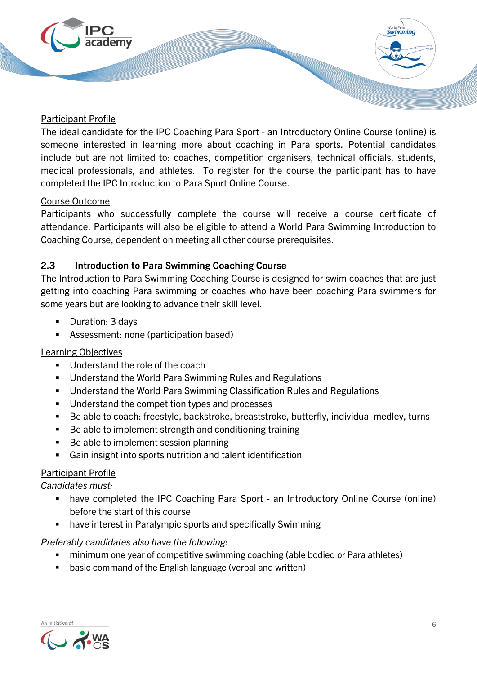

#### Participant Profile

The ideal candidate for the IPC Coaching Para Sport - an Introductory Online Course (online) is someone interested in learning more about coaching in Para sports. Potential candidates include but are not limited to: coaches, competition organisers, technical officials, students, medical professionals, and athletes. To register for the course the participant has to have completed the IPC Introduction to Para Sport Online Course.

### Course Outcome

Participants who successfully complete the course will receive a course certificate of attendance. Participants will also be eligible to attend a World Para Swimming Introduction to Coaching Course, dependent on meeting all other course prerequisites.

### 2.3 Introduction to Para Swimming Coaching Course

The Introduction to Para Swimming Coaching Course is designed for swim coaches that are just getting into coaching Para swimming or coaches who have been coaching Para swimmers for some years but are looking to advance their skill level.

- Duration: 3 days
- Assessment: none (participation based)

#### Learning Objectives

- Understand the role of the coach
- **Understand the World Para Swimming Rules and Regulations**
- Understand the World Para Swimming Classification Rules and Regulations
- **Understand the competition types and processes**
- Be able to coach: freestyle, backstroke, breaststroke, butterfly, individual medley, turns
- Be able to implement strength and conditioning training
- Be able to implement session planning
- Gain insight into sports nutrition and talent identification

### Participant Profile

*Candidates must:*

- have completed the IPC Coaching Para Sport an Introductory Online Course (online) before the start of this course
- have interest in Paralympic sports and specifically Swimming

#### *Preferably candidates also have the following:*

- minimum one year of competitive swimming coaching (able bodied or Para athletes)
- basic command of the English language (verbal and written)

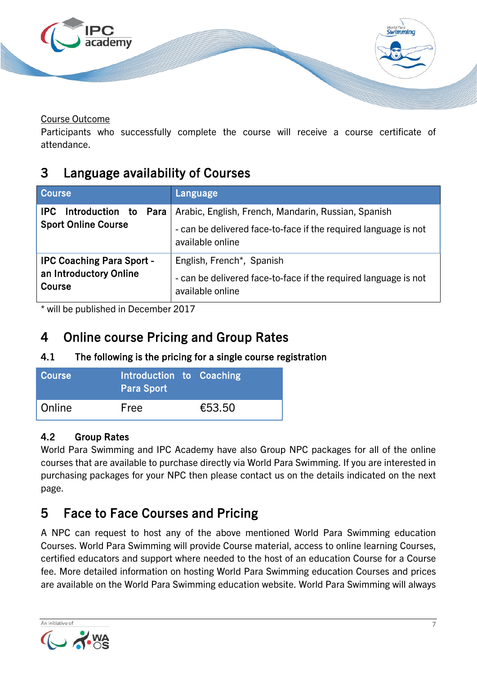

Course Outcome

Participants who successfully complete the course will receive a course certificate of attendance.

## <span id="page-6-0"></span>3 Language availability of Courses

| <b>Course</b>                                                        | Language                                                                                                                                   |
|----------------------------------------------------------------------|--------------------------------------------------------------------------------------------------------------------------------------------|
| Introduction to<br><b>IPC</b><br>Para<br><b>Sport Online Course</b>  | Arabic, English, French, Mandarin, Russian, Spanish<br>- can be delivered face-to-face if the required language is not<br>available online |
| <b>IPC Coaching Para Sport -</b><br>an Introductory Online<br>Course | English, French*, Spanish<br>- can be delivered face-to-face if the required language is not<br>available online                           |

\* will be published in December 2017

# <span id="page-6-1"></span>4 Online course Pricing and Group Rates

### 4.1 The following is the pricing for a single course registration

| <b>Course</b> | Introduction to Coaching<br><b>Para Sport</b> |        |
|---------------|-----------------------------------------------|--------|
| Online        | Free                                          | €53.50 |

### 4.2 Group Rates

World Para Swimming and IPC Academy have also Group NPC packages for all of the online courses that are available to purchase directly via World Para Swimming. If you are interested in purchasing packages for your NPC then please contact us on the details indicated on the next page.

# <span id="page-6-2"></span>5 Face to Face Courses and Pricing

A NPC can request to host any of the above mentioned World Para Swimming education Courses. World Para Swimming will provide Course material, access to online learning Courses, certified educators and support where needed to the host of an education Course for a Course fee. More detailed information on hosting World Para Swimming education Courses and prices are available on the World Para Swimming education website. World Para Swimming will always

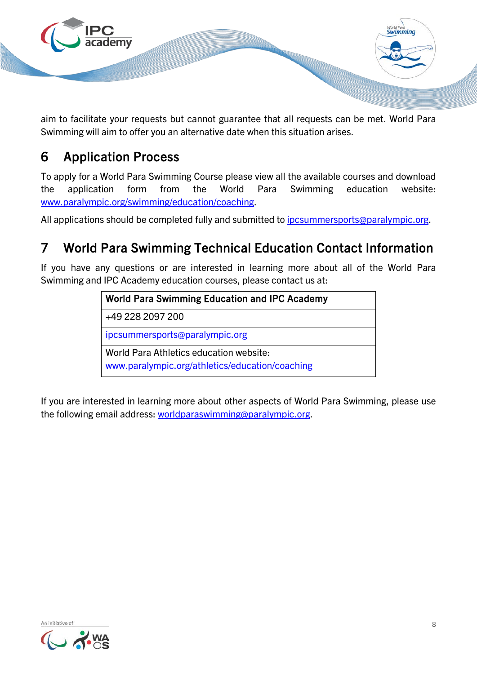

aim to facilitate your requests but cannot guarantee that all requests can be met. World Para Swimming will aim to offer you an alternative date when this situation arises.

# <span id="page-7-0"></span>6 Application Process

To apply for a World Para Swimming Course please view all the available courses and download the application form from the World Para Swimming education website: [www.paralympic.org/swimming/education/coaching.](https://www.paralympic.org/swimming/education/coaching)

All applications should be completed fully and submitted to *ipcsummersports@paralympic.org*.

# <span id="page-7-1"></span>7 World Para Swimming Technical Education Contact Information

If you have any questions or are interested in learning more about all of the World Para Swimming and IPC Academy education courses, please contact us at:

# World Para Swimming Education and IPC Academy +49 228 2097 200 [ipcsummersports@paralympic.org](mailto:ipcsummersports@paralympic.org) World Para Athletics education website: [www.paralympic.org/athletics/education/coaching](https://www.paralympic.org/athletics/education/coaching)

If you are interested in learning more about other aspects of World Para Swimming, please use the following email address: [worldparaswimming@paralympic.org.](mailto:worldparaswimming@paralympic.org)